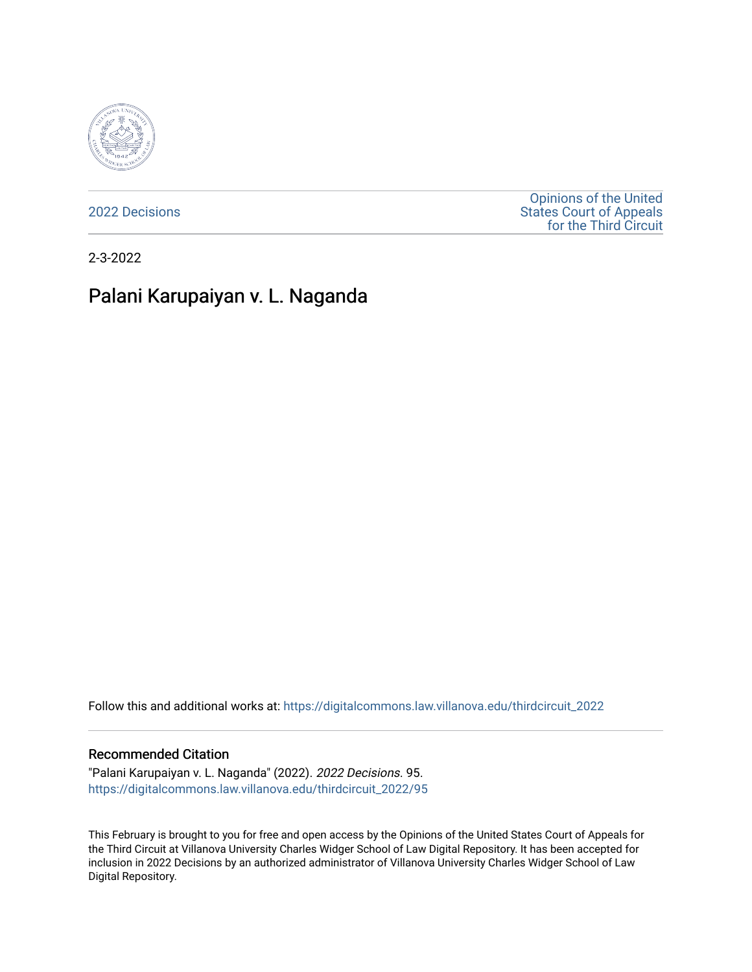

[2022 Decisions](https://digitalcommons.law.villanova.edu/thirdcircuit_2022)

[Opinions of the United](https://digitalcommons.law.villanova.edu/thirdcircuit)  [States Court of Appeals](https://digitalcommons.law.villanova.edu/thirdcircuit)  [for the Third Circuit](https://digitalcommons.law.villanova.edu/thirdcircuit) 

2-3-2022

# Palani Karupaiyan v. L. Naganda

Follow this and additional works at: [https://digitalcommons.law.villanova.edu/thirdcircuit\\_2022](https://digitalcommons.law.villanova.edu/thirdcircuit_2022?utm_source=digitalcommons.law.villanova.edu%2Fthirdcircuit_2022%2F95&utm_medium=PDF&utm_campaign=PDFCoverPages) 

#### Recommended Citation

"Palani Karupaiyan v. L. Naganda" (2022). 2022 Decisions. 95. [https://digitalcommons.law.villanova.edu/thirdcircuit\\_2022/95](https://digitalcommons.law.villanova.edu/thirdcircuit_2022/95?utm_source=digitalcommons.law.villanova.edu%2Fthirdcircuit_2022%2F95&utm_medium=PDF&utm_campaign=PDFCoverPages)

This February is brought to you for free and open access by the Opinions of the United States Court of Appeals for the Third Circuit at Villanova University Charles Widger School of Law Digital Repository. It has been accepted for inclusion in 2022 Decisions by an authorized administrator of Villanova University Charles Widger School of Law Digital Repository.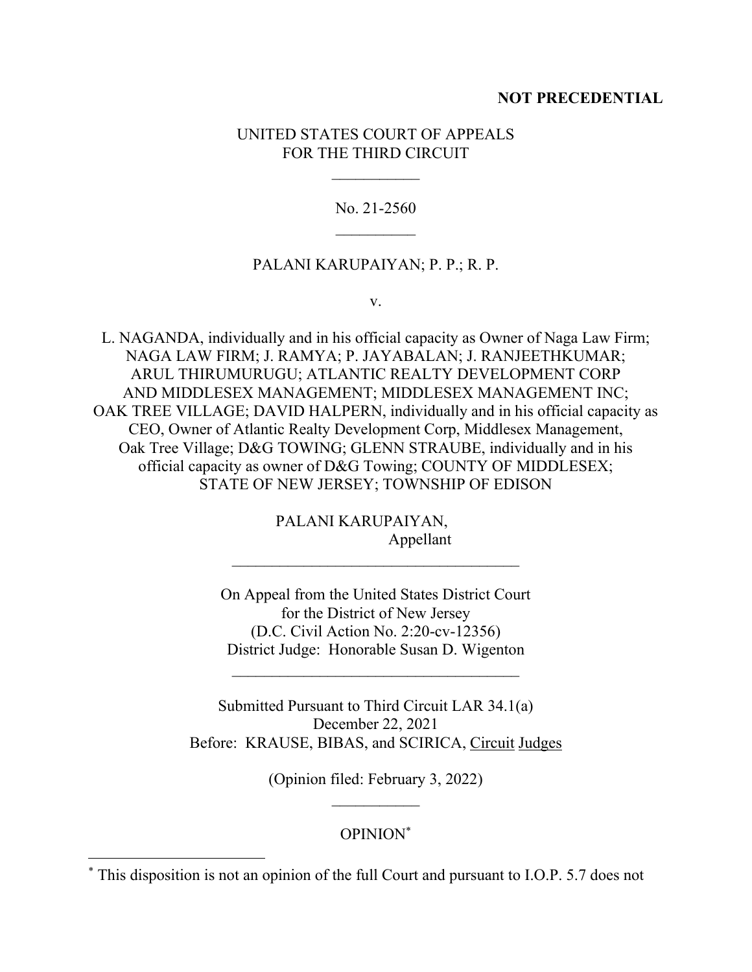# **NOT PRECEDENTIAL**

# UNITED STATES COURT OF APPEALS FOR THE THIRD CIRCUIT

No. 21-2560  $\mathcal{L}_\text{max}$ 

#### PALANI KARUPAIYAN; P. P.; R. P.

v.

L. NAGANDA, individually and in his official capacity as Owner of Naga Law Firm; NAGA LAW FIRM; J. RAMYA; P. JAYABALAN; J. RANJEETHKUMAR; ARUL THIRUMURUGU; ATLANTIC REALTY DEVELOPMENT CORP AND MIDDLESEX MANAGEMENT; MIDDLESEX MANAGEMENT INC; OAK TREE VILLAGE; DAVID HALPERN, individually and in his official capacity as CEO, Owner of Atlantic Realty Development Corp, Middlesex Management, Oak Tree Village; D&G TOWING; GLENN STRAUBE, individually and in his official capacity as owner of D&G Towing; COUNTY OF MIDDLESEX; STATE OF NEW JERSEY; TOWNSHIP OF EDISON

> PALANI KARUPAIYAN, Appellant

On Appeal from the United States District Court for the District of New Jersey (D.C. Civil Action No. 2:20-cv-12356) District Judge: Honorable Susan D. Wigenton

Submitted Pursuant to Third Circuit LAR 34.1(a) December 22, 2021 Before: KRAUSE, BIBAS, and SCIRICA, Circuit Judges

 $\mathcal{L}_\text{max}$  , where  $\mathcal{L}_\text{max}$  and  $\mathcal{L}_\text{max}$  and  $\mathcal{L}_\text{max}$ 

(Opinion filed: February 3, 2022)  $\mathcal{L}_\text{max}$ 

### OPINION\*

<sup>\*</sup> This disposition is not an opinion of the full Court and pursuant to I.O.P. 5.7 does not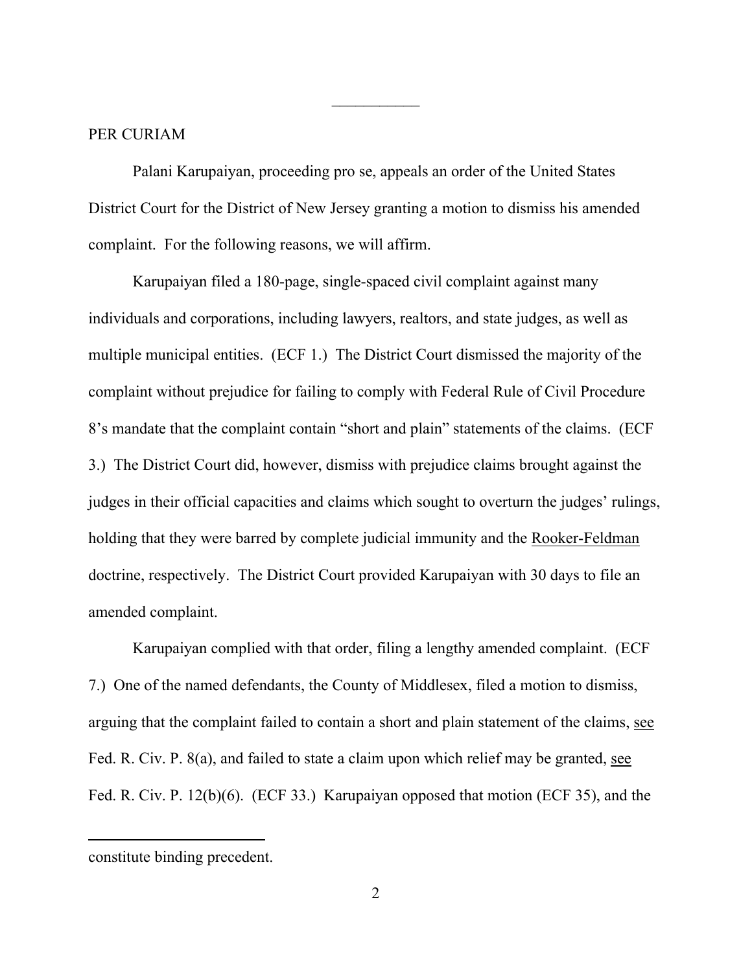#### PER CURIAM

Palani Karupaiyan, proceeding pro se, appeals an order of the United States District Court for the District of New Jersey granting a motion to dismiss his amended complaint. For the following reasons, we will affirm.

 $\frac{1}{2}$ 

Karupaiyan filed a 180-page, single-spaced civil complaint against many individuals and corporations, including lawyers, realtors, and state judges, as well as multiple municipal entities. (ECF 1.) The District Court dismissed the majority of the complaint without prejudice for failing to comply with Federal Rule of Civil Procedure 8's mandate that the complaint contain "short and plain" statements of the claims. (ECF 3.) The District Court did, however, dismiss with prejudice claims brought against the judges in their official capacities and claims which sought to overturn the judges' rulings, holding that they were barred by complete judicial immunity and the Rooker-Feldman doctrine, respectively. The District Court provided Karupaiyan with 30 days to file an amended complaint.

Karupaiyan complied with that order, filing a lengthy amended complaint. (ECF 7.) One of the named defendants, the County of Middlesex, filed a motion to dismiss, arguing that the complaint failed to contain a short and plain statement of the claims, see Fed. R. Civ. P. 8(a), and failed to state a claim upon which relief may be granted, see Fed. R. Civ. P. 12(b)(6). (ECF 33.) Karupaiyan opposed that motion (ECF 35), and the

constitute binding precedent.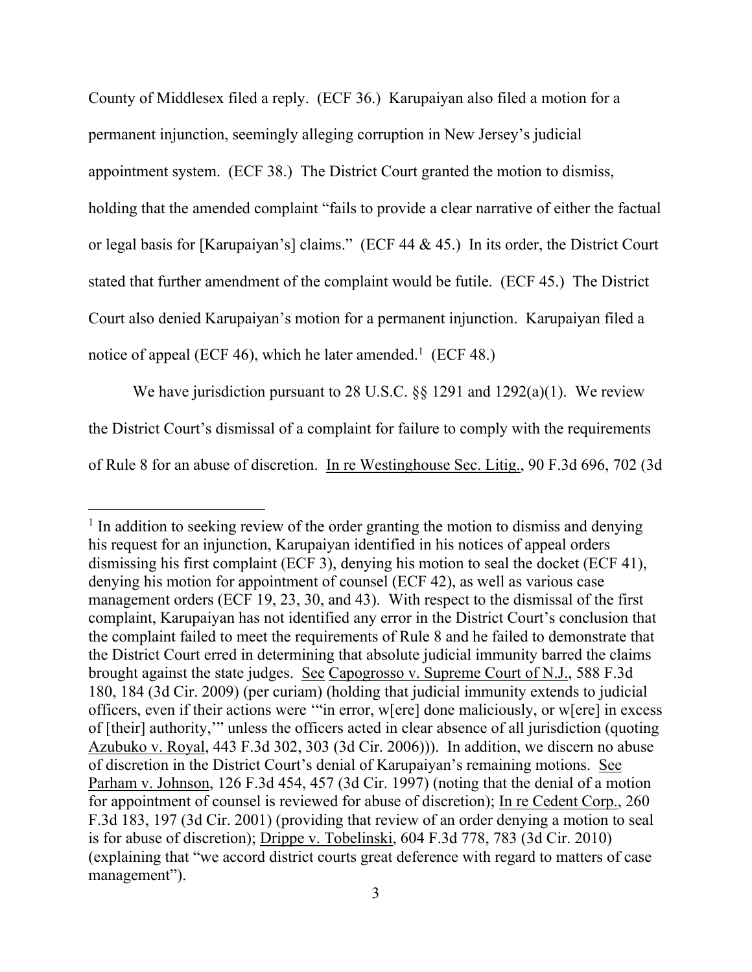County of Middlesex filed a reply. (ECF 36.) Karupaiyan also filed a motion for a permanent injunction, seemingly alleging corruption in New Jersey's judicial appointment system. (ECF 38.) The District Court granted the motion to dismiss, holding that the amended complaint "fails to provide a clear narrative of either the factual or legal basis for [Karupaiyan's] claims." (ECF 44 & 45.) In its order, the District Court stated that further amendment of the complaint would be futile. (ECF 45.) The District Court also denied Karupaiyan's motion for a permanent injunction. Karupaiyan filed a notice of appeal (ECF 46), which he later amended.<sup>1</sup> (ECF 48.)

We have jurisdiction pursuant to 28 U.S.C. §§ 1291 and 1292(a)(1). We review the District Court's dismissal of a complaint for failure to comply with the requirements of Rule 8 for an abuse of discretion. In re Westinghouse Sec. Litig., 90 F.3d 696, 702 (3d

<sup>&</sup>lt;sup>1</sup> In addition to seeking review of the order granting the motion to dismiss and denying his request for an injunction, Karupaiyan identified in his notices of appeal orders dismissing his first complaint (ECF 3), denying his motion to seal the docket (ECF 41), denying his motion for appointment of counsel (ECF 42), as well as various case management orders (ECF 19, 23, 30, and 43). With respect to the dismissal of the first complaint, Karupaiyan has not identified any error in the District Court's conclusion that the complaint failed to meet the requirements of Rule 8 and he failed to demonstrate that the District Court erred in determining that absolute judicial immunity barred the claims brought against the state judges. See Capogrosso v. Supreme Court of N.J., 588 F.3d 180, 184 (3d Cir. 2009) (per curiam) (holding that judicial immunity extends to judicial officers, even if their actions were '"in error, w[ere] done maliciously, or w[ere] in excess of [their] authority,'" unless the officers acted in clear absence of all jurisdiction (quoting Azubuko v. Royal, 443 F.3d 302, 303 (3d Cir. 2006))). In addition, we discern no abuse of discretion in the District Court's denial of Karupaiyan's remaining motions. See Parham v. Johnson, 126 F.3d 454, 457 (3d Cir. 1997) (noting that the denial of a motion for appointment of counsel is reviewed for abuse of discretion); In re Cedent Corp., 260 F.3d 183, 197 (3d Cir. 2001) (providing that review of an order denying a motion to seal is for abuse of discretion); Drippe v. Tobelinski, 604 F.3d 778, 783 (3d Cir. 2010) (explaining that "we accord district courts great deference with regard to matters of case management").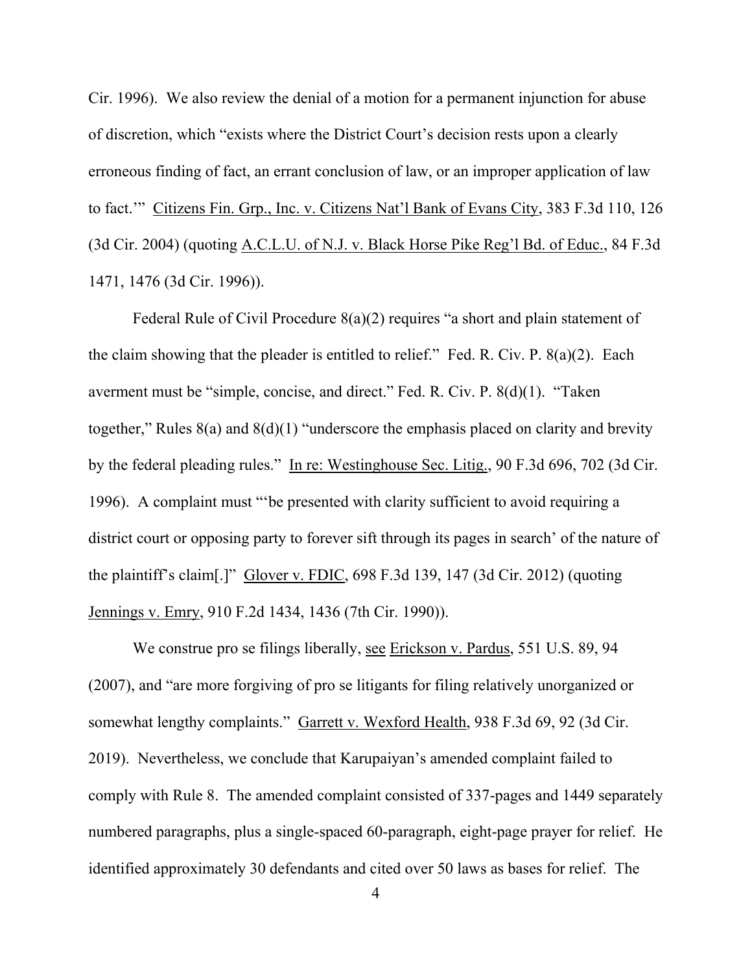Cir. 1996). We also review the denial of a motion for a permanent injunction for abuse of discretion, which "exists where the District Court's decision rests upon a clearly erroneous finding of fact, an errant conclusion of law, or an improper application of law to fact.'" Citizens Fin. Grp., Inc. v. Citizens Nat'l Bank of Evans City, 383 F.3d 110, 126 (3d Cir. 2004) (quoting A.C.L.U. of N.J. v. Black Horse Pike Reg'l Bd. of Educ., 84 F.3d 1471, 1476 (3d Cir. 1996)).

Federal Rule of Civil Procedure 8(a)(2) requires "a short and plain statement of the claim showing that the pleader is entitled to relief." Fed. R. Civ. P. 8(a)(2). Each averment must be "simple, concise, and direct." Fed. R. Civ. P. 8(d)(1). "Taken together," Rules 8(a) and 8(d)(1) "underscore the emphasis placed on clarity and brevity by the federal pleading rules." In re: Westinghouse Sec. Litig., 90 F.3d 696, 702 (3d Cir. 1996). A complaint must "'be presented with clarity sufficient to avoid requiring a district court or opposing party to forever sift through its pages in search' of the nature of the plaintiff's claim[.]" Glover v. FDIC, 698 F.3d 139, 147 (3d Cir. 2012) (quoting Jennings v. Emry, 910 F.2d 1434, 1436 (7th Cir. 1990)).

We construe pro se filings liberally, see Erickson v. Pardus, 551 U.S. 89, 94 (2007), and "are more forgiving of pro se litigants for filing relatively unorganized or somewhat lengthy complaints." Garrett v. Wexford Health, 938 F.3d 69, 92 (3d Cir. 2019). Nevertheless, we conclude that Karupaiyan's amended complaint failed to comply with Rule 8. The amended complaint consisted of 337-pages and 1449 separately numbered paragraphs, plus a single-spaced 60-paragraph, eight-page prayer for relief. He identified approximately 30 defendants and cited over 50 laws as bases for relief. The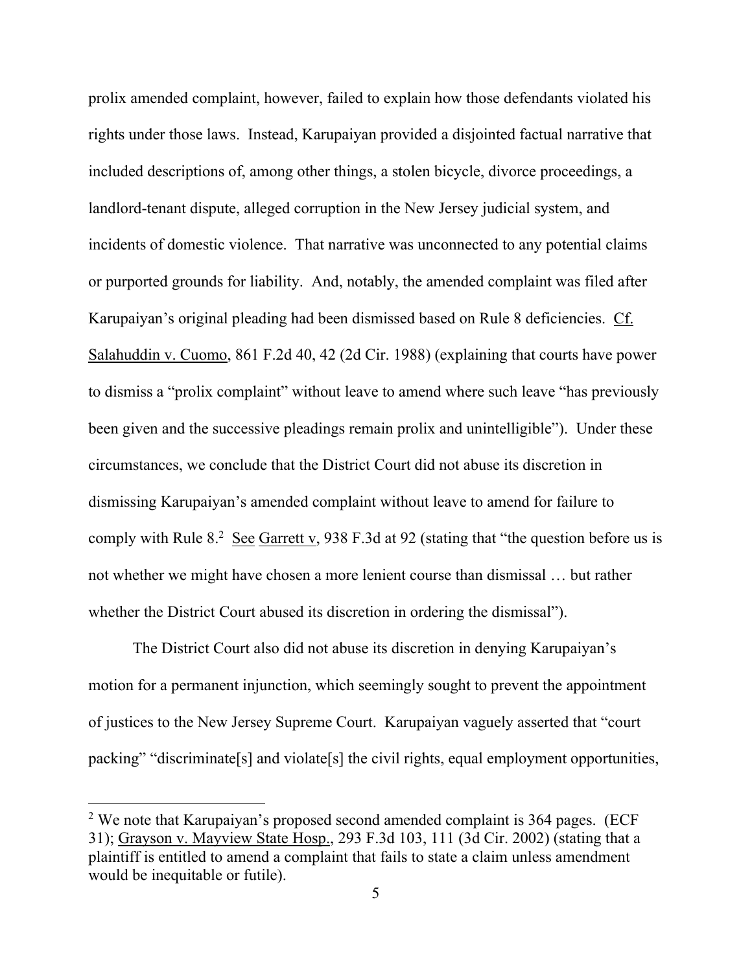prolix amended complaint, however, failed to explain how those defendants violated his rights under those laws. Instead, Karupaiyan provided a disjointed factual narrative that included descriptions of, among other things, a stolen bicycle, divorce proceedings, a landlord-tenant dispute, alleged corruption in the New Jersey judicial system, and incidents of domestic violence. That narrative was unconnected to any potential claims or purported grounds for liability. And, notably, the amended complaint was filed after Karupaiyan's original pleading had been dismissed based on Rule 8 deficiencies. Cf. Salahuddin v. Cuomo, 861 F.2d 40, 42 (2d Cir. 1988) (explaining that courts have power to dismiss a "prolix complaint" without leave to amend where such leave "has previously been given and the successive pleadings remain prolix and unintelligible"). Under these circumstances, we conclude that the District Court did not abuse its discretion in dismissing Karupaiyan's amended complaint without leave to amend for failure to comply with Rule 8.<sup>2</sup> See Garrett v, 938 F.3d at 92 (stating that "the question before us is not whether we might have chosen a more lenient course than dismissal … but rather whether the District Court abused its discretion in ordering the dismissal").

The District Court also did not abuse its discretion in denying Karupaiyan's motion for a permanent injunction, which seemingly sought to prevent the appointment of justices to the New Jersey Supreme Court. Karupaiyan vaguely asserted that "court packing" "discriminate[s] and violate[s] the civil rights, equal employment opportunities,

<sup>&</sup>lt;sup>2</sup> We note that Karupaiyan's proposed second amended complaint is  $364$  pages. (ECF 31); Grayson v. Mayview State Hosp., 293 F.3d 103, 111 (3d Cir. 2002) (stating that a plaintiff is entitled to amend a complaint that fails to state a claim unless amendment would be inequitable or futile).